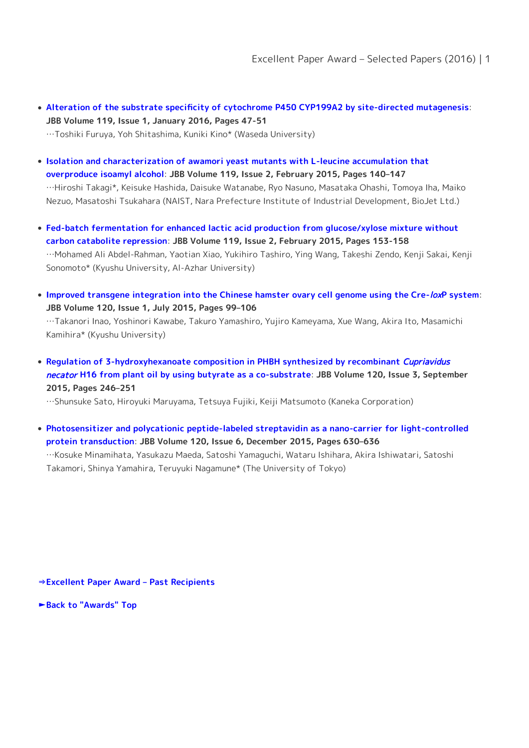- **[Alteration of the substrate specificity of cytochrome P450 CYP199A2 by site-directed mutagenesis](http://dx.doi.org/10.1016/j.jbiosc.2014.05.028)**: **JBB Volume 119, Issue 1, January 2016, Pages 47-51** …Toshiki Furuya, Yoh Shitashima, Kuniki Kino\* (Waseda University)
- **[Isolation and characterization of awamori yeast mutants with L-leucine accumulation that](http://dx.doi.org/10.1016/j.jbiosc.2014.06.020) [overproduce isoamyl alcohol](http://dx.doi.org/10.1016/j.jbiosc.2014.06.020)**: **JBB Volume 119, Issue 2, February 2015, Pages 140–147** …Hiroshi Takagi\*, Keisuke Hashida, Daisuke Watanabe, Ryo Nasuno, Masataka Ohashi, Tomoya Iha, Maiko Nezuo, Masatoshi Tsukahara (NAIST, Nara Prefecture Institute of Industrial Development, BioJet Ltd.)
- **[Fed-batch fermentation for enhanced lactic acid production from glucose/xylose mixture without](http://dx.doi.org/10.1016/j.jbiosc.2014.07.007) [carbon catabolite repression](http://dx.doi.org/10.1016/j.jbiosc.2014.07.007)**: **JBB Volume 119, Issue 2, February 2015, Pages 153-158** …Mohamed Ali Abdel-Rahman, Yaotian Xiao, Yukihiro Tashiro, Ying Wang, Takeshi Zendo, Kenji Sakai, Kenji Sonomoto\* (Kyushu University, Al-Azhar University)
- **[Improved transgene integration into the Chinese hamster ovary cell genome using the Cre-](http://dx.doi.org/10.1016/j.jbiosc.2014.11.019)**[lox](http://dx.doi.org/10.1016/j.jbiosc.2014.11.019)**[P system](http://dx.doi.org/10.1016/j.jbiosc.2014.11.019)**: **JBB Volume 120, Issue 1, July 2015, Pages 99–106** …Takanori Inao, Yoshinori Kawabe, Takuro Yamashiro, Yujiro Kameyama, Xue Wang, Akira Ito, Masamichi Kamihira\* (Kyushu University)
- **[Regulation of 3-hydroxyhexanoate composition in PHBH synthesized by recombinant](http://dx.doi.org/10.1016/j.jbiosc.2015.01.016)** *[Cupriavidus](http://dx.doi.org/10.1016/j.jbiosc.2015.01.016)* [necator](http://dx.doi.org/10.1016/j.jbiosc.2015.01.016) **[H16 from plant oil by using butyrate as a co-substrate](http://dx.doi.org/10.1016/j.jbiosc.2015.01.016)**: **JBB Volume 120, Issue 3, September 2015, Pages 246–251**

…Shunsuke Sato, Hiroyuki Maruyama, Tetsuya Fujiki, Keiji Matsumoto (Kaneka Corporation)

**[Photosensitizer and polycationic peptide-labeled streptavidin as a nano-carrier for light-controlled](http://dx.doi.org/10.1016/j.jbiosc.2015.04.001) [protein transduction](http://dx.doi.org/10.1016/j.jbiosc.2015.04.001)**: **JBB Volume 120, Issue 6, December 2015, Pages 630–636** …Kosuke Minamihata, Yasukazu Maeda, Satoshi Yamaguchi, Wataru Ishihara, Akira Ishiwatari, Satoshi Takamori, Shinya Yamahira, Teruyuki Nagamune\* (The University of Tokyo)

**[⇒Excellent Paper Award – Past Recipients](https://www.sbj.or.jp/e/about_awards_paper_award_list.html)**

**[►Back to "Awards" Top](https://www.sbj.or.jp/e/about_awards.html)**